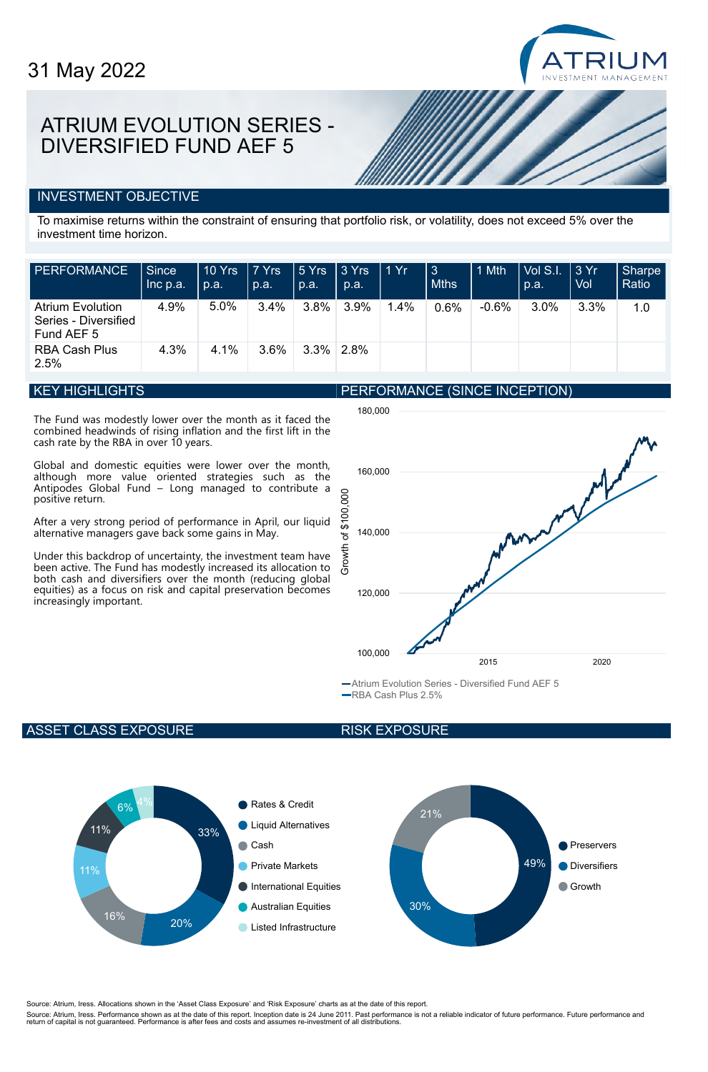# ATRIUM EVOLUTION SERIES - DIVERSIFIED FUND AEF 5

### INVESTMENT OBJECTIVE

To maximise returns within the constraint of ensuring that portfolio risk, or volatility, does not exceed 5% over the investment time horizon.

| <b>PERFORMANCE</b>                                            | Since<br>Inc p.a. | 10 Yrs<br>p.a. | 7 Yrs<br>p.a. | $ 5$ Yrs<br>  p.a. | $ 3 Y$ rs<br>p.a. | ∣ 1 Yr. | 3<br><b>Mths</b> | 1 Mth   | Vol S.I.<br>p.a. | $\perp$ 3 Yr<br>Vol | <b>Sharpe</b><br>Ratio |
|---------------------------------------------------------------|-------------------|----------------|---------------|--------------------|-------------------|---------|------------------|---------|------------------|---------------------|------------------------|
| <b>Atrium Evolution</b><br>Series - Diversified<br>Fund AEF 5 | 4.9%              | 5.0%           | 3.4%          | $3.8\%$            | 3.9%              | 1.4%    | 0.6%             | $-0.6%$ | 3.0%             | 3.3%                | 1.0                    |
| <b>RBA Cash Plus</b><br>2.5%                                  | 4.3%              | 4.1%           | 3.6%          | $3.3\%$ 2.8%       |                   |         |                  |         |                  |                     |                        |

#### KEY HIGHLIGHTS

The Fund was modestly lower over the month as it faced the combined headwinds of rising inflation and the first lift in the cash rate by the RBA in over 10 years.

Global and domestic equities were lower over the month, although more value oriented strategies such as the Antipodes Global Fund – Long managed to contribute a positive return.

After a very strong period of performance in April, our liquid alternative managers gave back some gains in May.

Under this backdrop of uncertainty, the investment team have been active. The Fund has modestly increased its allocation to both cash and diversifiers over the month (reducing global equities) as a focus on risk and capital preservation becomes increasingly important.





Atrium Evolution Series - Diversified Fund AEF 5 RBA Cash Plus 2.5%

#### ASSET CLASS EXPOSURE

#### RISK EXPOSURE



Source: Atrium, Iress. Allocations shown in the 'Asset Class Exposure' and 'Risk Exposure' charts as at the date of this report.

Source: Atrium, Iress. Performance shown as at the date of this report. Inception date is 24 June 2011. Past performance is not a reliable indicator of future performance. Future performance and<br>return of capital is not gu